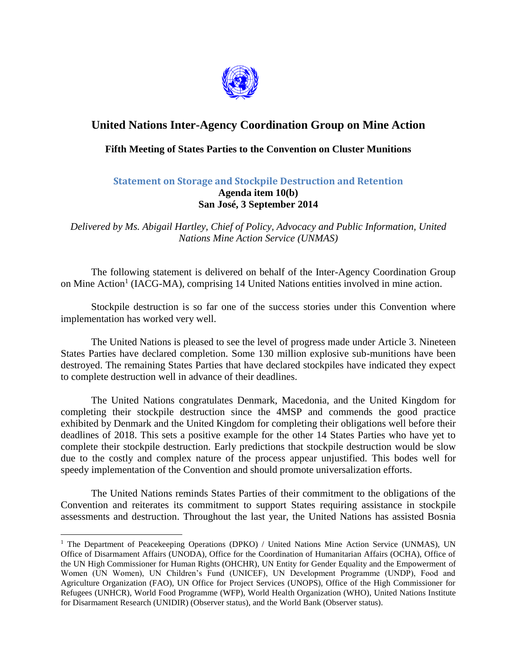

## **United Nations Inter-Agency Coordination Group on Mine Action**

## **Fifth Meeting of States Parties to the Convention on Cluster Munitions**

## **Statement on Storage and Stockpile Destruction and Retention Agenda item 10(b) San José, 3 September 2014**

*Delivered by Ms. Abigail Hartley, Chief of Policy, Advocacy and Public Information, United Nations Mine Action Service (UNMAS)*

The following statement is delivered on behalf of the Inter-Agency Coordination Group on Mine Action<sup>1</sup> (IACG-MA), comprising 14 United Nations entities involved in mine action.

Stockpile destruction is so far one of the success stories under this Convention where implementation has worked very well.

The United Nations is pleased to see the level of progress made under Article 3. Nineteen States Parties have declared completion. Some 130 million explosive sub-munitions have been destroyed. The remaining States Parties that have declared stockpiles have indicated they expect to complete destruction well in advance of their deadlines.

The United Nations congratulates Denmark, Macedonia, and the United Kingdom for completing their stockpile destruction since the 4MSP and commends the good practice exhibited by Denmark and the United Kingdom for completing their obligations well before their deadlines of 2018. This sets a positive example for the other 14 States Parties who have yet to complete their stockpile destruction. Early predictions that stockpile destruction would be slow due to the costly and complex nature of the process appear unjustified. This bodes well for speedy implementation of the Convention and should promote universalization efforts.

The United Nations reminds States Parties of their commitment to the obligations of the Convention and reiterates its commitment to support States requiring assistance in stockpile assessments and destruction. Throughout the last year, the United Nations has assisted Bosnia

 $\overline{a}$ 

<sup>&</sup>lt;sup>1</sup> The Department of Peacekeeping Operations (DPKO) / United Nations Mine Action Service (UNMAS), UN Office of Disarmament Affairs (UNODA), Office for the Coordination of Humanitarian Affairs (OCHA), Office of the UN High Commissioner for Human Rights (OHCHR), UN Entity for Gender Equality and the Empowerment of Women (UN Women), UN Children's Fund (UNICEF), UN Development Programme (UNDP), Food and Agriculture Organization (FAO), UN Office for Project Services (UNOPS), Office of the High Commissioner for Refugees (UNHCR), World Food Programme (WFP), World Health Organization (WHO), United Nations Institute for Disarmament Research (UNIDIR) (Observer status), and the World Bank (Observer status).